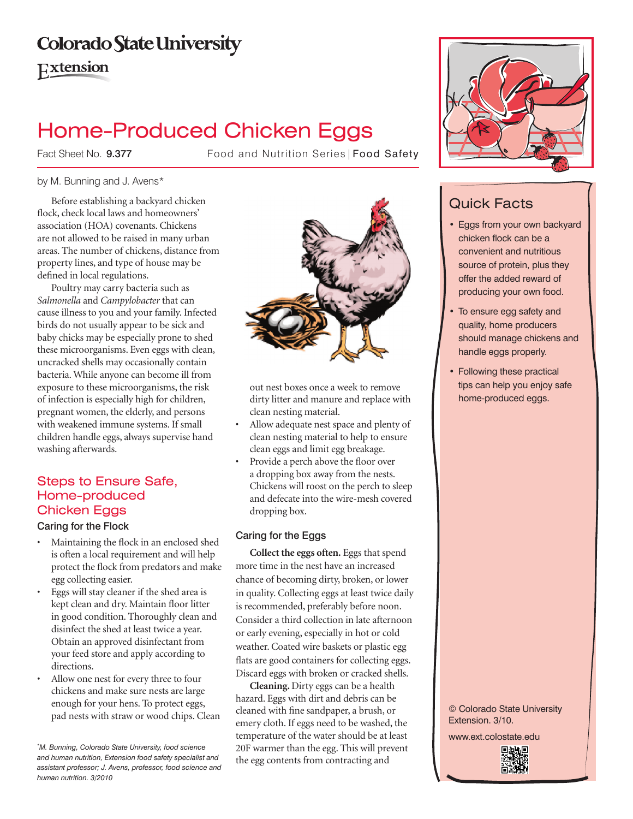# **Colorado State University**

**Extension** 

# Home-Produced Chicken Eggs

Fact Sheet No. 9.377

Food and Nutrition Series | Food Safety

### by M. Bunning and J. Avens\*

Before establishing a backyard chicken flock, check local laws and homeowners' association (HOA) covenants. Chickens are not allowed to be raised in many urban areas. The number of chickens, distance from property lines, and type of house may be defined in local regulations.

Poultry may carry bacteria such as *Salmonella* and *Campylobacter* that can cause illness to you and your family. Infected birds do not usually appear to be sick and baby chicks may be especially prone to shed these microorganisms. Even eggs with clean, uncracked shells may occasionally contain bacteria. While anyone can become ill from exposure to these microorganisms, the risk of infection is especially high for children, pregnant women, the elderly, and persons with weakened immune systems. If small children handle eggs, always supervise hand washing afterwards.

# Steps to Ensure Safe, Home-produced Chicken Eggs

### Caring for the Flock

- • Maintaining the flock in an enclosed shed is often a local requirement and will help protect the flock from predators and make egg collecting easier.
- Eggs will stay cleaner if the shed area is kept clean and dry. Maintain floor litter in good condition. Thoroughly clean and disinfect the shed at least twice a year. Obtain an approved disinfectant from your feed store and apply according to directions.
- Allow one nest for every three to four chickens and make sure nests are large enough for your hens. To protect eggs, pad nests with straw or wood chips. Clean



out nest boxes once a week to remove dirty litter and manure and replace with clean nesting material.

- Allow adequate nest space and plenty of clean nesting material to help to ensure clean eggs and limit egg breakage.
- Provide a perch above the floor over a dropping box away from the nests. Chickens will roost on the perch to sleep and defecate into the wire-mesh covered dropping box.

### Caring for the Eggs

**Collect the eggs often.** Eggs that spend more time in the nest have an increased chance of becoming dirty, broken, or lower in quality. Collecting eggs at least twice daily is recommended, preferably before noon. Consider a third collection in late afternoon or early evening, especially in hot or cold weather. Coated wire baskets or plastic egg flats are good containers for collecting eggs. Discard eggs with broken or cracked shells.

**Cleaning.** Dirty eggs can be a health hazard. Eggs with dirt and debris can be cleaned with fine sandpaper, a brush, or emery cloth. If eggs need to be washed, the temperature of the water should be at least 20F warmer than the egg. This will prevent the egg contents from contracting and



# Quick Facts

- • Eggs from your own backyard chicken flock can be a convenient and nutritious source of protein, plus they offer the added reward of producing your own food.
- To ensure egg safety and quality, home producers should manage chickens and handle eggs properly.
- Following these practical tips can help you enjoy safe home-produced eggs.

© Colorado State University Extension. 3/10.

www.ext.colostate.edu



*<sup>\*</sup> M. Bunning, Colorado State University, food science and human nutrition, Extension food safety specialist and assistant professor; J. Avens, professor, food science and human nutrition. 3/2010*